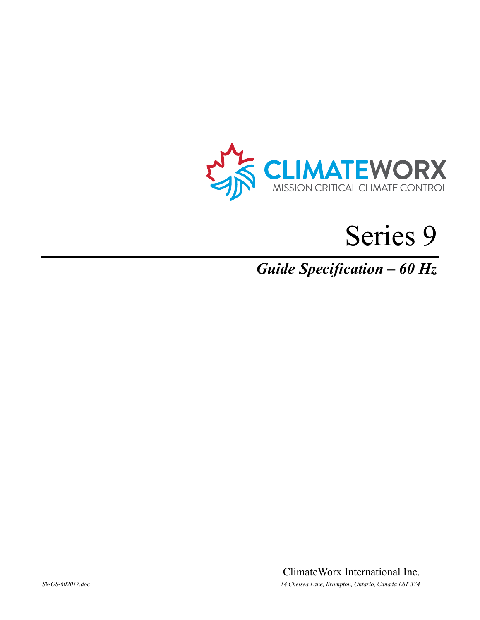



# *Guide Specification – 60 Hz*

ClimateWorx International Inc. *S9-GS-602017.doc 14 Chelsea Lane, Brampton, Ontario, Canada L6T 3Y4*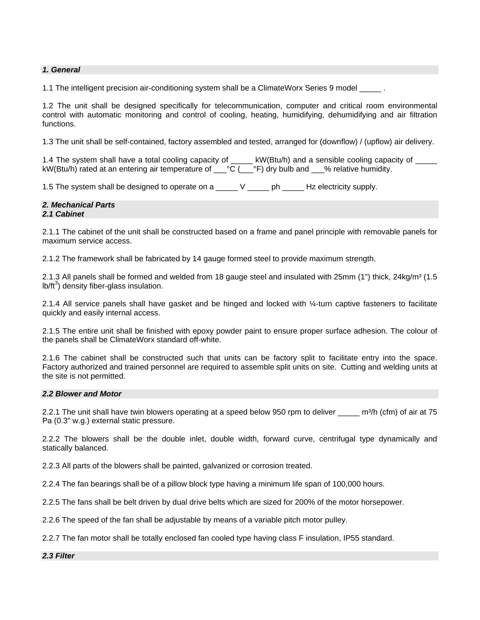## *1. General*

1.1 The intelligent precision air-conditioning system shall be a ClimateWorx Series 9 model

1.2 The unit shall be designed specifically for telecommunication, computer and critical room environmental control with automatic monitoring and control of cooling, heating, humidifying, dehumidifying and air filtration functions.

1.3 The unit shall be self-contained, factory assembled and tested, arranged for (downflow) / (upflow) air delivery.

1.4 The system shall have a total cooling capacity of the KW(Btu/h) and a sensible cooling capacity of kW(Btu/h) rated at an entering air temperature of  $\overline{C}$  °C ( $\overline{C}$ °F) dry bulb and  $\overline{C}$  relative humidity.

1.5 The system shall be designed to operate on a \_\_\_\_\_ V \_\_\_\_\_ ph \_\_\_\_\_ Hz electricity supply.

#### *2. Mechanical Parts 2.1 Cabinet*

2.1.1 The cabinet of the unit shall be constructed based on a frame and panel principle with removable panels for maximum service access.

2.1.2 The framework shall be fabricated by 14 gauge formed steel to provide maximum strength.

2.1.3 All panels shall be formed and welded from 18 gauge steel and insulated with  $25$ mm (1") thick,  $24$ kg/m $3$  (1.5  $lb/ft^3)$  density fiber-glass insulation.

2.1.4 All service panels shall have gasket and be hinged and locked with ¼-turn captive fasteners to facilitate quickly and easily internal access.

2.1.5 The entire unit shall be finished with epoxy powder paint to ensure proper surface adhesion. The colour of the panels shall be ClimateWorx standard off-white.

2.1.6 The cabinet shall be constructed such that units can be factory split to facilitate entry into the space. Factory authorized and trained personnel are required to assemble split units on site. Cutting and welding units at the site is not permitted.

#### *2.2 Blower and Motor*

2.2.1 The unit shall have twin blowers operating at a speed below 950 rpm to deliver \_\_\_\_\_ m<sup>3</sup>/h (cfm) of air at 75 Pa (0.3" w.g.) external static pressure.

2.2.2 The blowers shall be the double inlet, double width, forward curve, centrifugal type dynamically and statically balanced.

2.2.3 All parts of the blowers shall be painted, galvanized or corrosion treated.

2.2.4 The fan bearings shall be of a pillow block type having a minimum life span of 100,000 hours.

2.2.5 The fans shall be belt driven by dual drive belts which are sized for 200% of the motor horsepower.

2.2.6 The speed of the fan shall be adjustable by means of a variable pitch motor pulley.

2.2.7 The fan motor shall be totally enclosed fan cooled type having class F insulation, IP55 standard.

*2.3 Filter*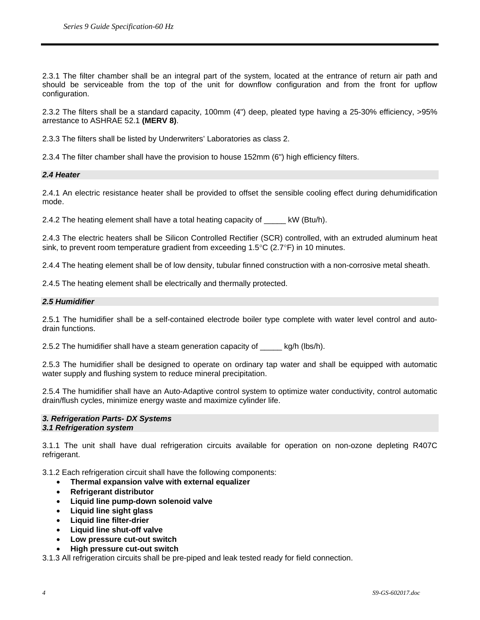2.3.1 The filter chamber shall be an integral part of the system, located at the entrance of return air path and should be serviceable from the top of the unit for downflow configuration and from the front for upflow configuration.

2.3.2 The filters shall be a standard capacity, 100mm (4") deep, pleated type having a 25-30% efficiency, >95% arrestance to ASHRAE 52.1 **(MERV 8)**.

2.3.3 The filters shall be listed by Underwriters' Laboratories as class 2.

2.3.4 The filter chamber shall have the provision to house 152mm (6") high efficiency filters.

#### *2.4 Heater*

2.4.1 An electric resistance heater shall be provided to offset the sensible cooling effect during dehumidification mode.

2.4.2 The heating element shall have a total heating capacity of \_\_\_\_\_ kW (Btu/h).

2.4.3 The electric heaters shall be Silicon Controlled Rectifier (SCR) controlled, with an extruded aluminum heat sink, to prevent room temperature gradient from exceeding  $1.5^{\circ}$ C (2.7 $^{\circ}$ F) in 10 minutes.

2.4.4 The heating element shall be of low density, tubular finned construction with a non-corrosive metal sheath.

2.4.5 The heating element shall be electrically and thermally protected.

## *2.5 Humidifier*

2.5.1 The humidifier shall be a self-contained electrode boiler type complete with water level control and autodrain functions.

2.5.2 The humidifier shall have a steam generation capacity of  $kg/h$  (lbs/h).

2.5.3 The humidifier shall be designed to operate on ordinary tap water and shall be equipped with automatic water supply and flushing system to reduce mineral precipitation.

2.5.4 The humidifier shall have an Auto-Adaptive control system to optimize water conductivity, control automatic drain/flush cycles, minimize energy waste and maximize cylinder life.

## *3. Refrigeration Parts- DX Systems 3.1 Refrigeration system*

3.1.1 The unit shall have dual refrigeration circuits available for operation on non-ozone depleting R407C refrigerant.

3.1.2 Each refrigeration circuit shall have the following components:

- **Thermal expansion valve with external equalizer**
- **Refrigerant distributor**
- **Liquid line pump-down solenoid valve**
- **Liquid line sight glass**
- **Liquid line filter-drier**
- **Liquid line shut-off valve**
- **Low pressure cut-out switch**
- **High pressure cut-out switch**

3.1.3 All refrigeration circuits shall be pre-piped and leak tested ready for field connection.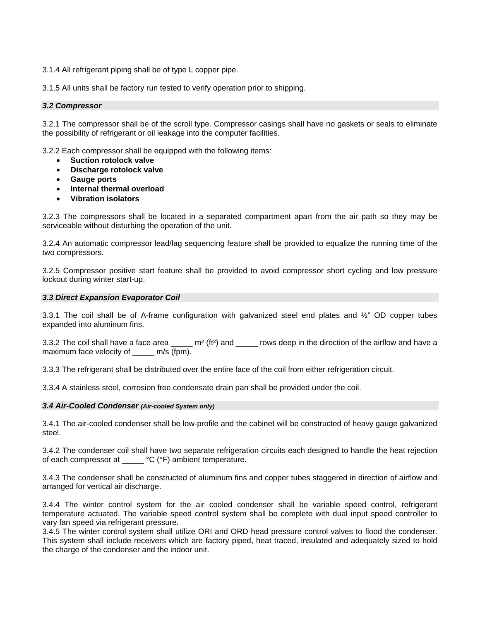3.1.4 All refrigerant piping shall be of type L copper pipe.

3.1.5 All units shall be factory run tested to verify operation prior to shipping.

# *3.2 Compressor*

3.2.1 The compressor shall be of the scroll type. Compressor casings shall have no gaskets or seals to eliminate the possibility of refrigerant or oil leakage into the computer facilities.

3.2.2 Each compressor shall be equipped with the following items:

- **Suction rotolock valve**
- **Discharge rotolock valve**
- **Gauge ports**
- **Internal thermal overload**
- **Vibration isolators**

3.2.3 The compressors shall be located in a separated compartment apart from the air path so they may be serviceable without disturbing the operation of the unit.

3.2.4 An automatic compressor lead/lag sequencing feature shall be provided to equalize the running time of the two compressors.

3.2.5 Compressor positive start feature shall be provided to avoid compressor short cycling and low pressure lockout during winter start-up.

## *3.3 Direct Expansion Evaporator Coil*

3.3.1 The coil shall be of A-frame configuration with galvanized steel end plates and  $\frac{1}{2}$ " OD copper tubes expanded into aluminum fins.

3.3.2 The coil shall have a face area \_\_\_\_\_ m<sup>2</sup> (ft<sup>2</sup>) and \_\_\_\_\_ rows deep in the direction of the airflow and have a maximum face velocity of m/s (fpm).

3.3.3 The refrigerant shall be distributed over the entire face of the coil from either refrigeration circuit.

3.3.4 A stainless steel, corrosion free condensate drain pan shall be provided under the coil.

#### *3.4 Air-Cooled Condenser (Air-cooled System only)*

3.4.1 The air-cooled condenser shall be low-profile and the cabinet will be constructed of heavy gauge galvanized steel.

3.4.2 The condenser coil shall have two separate refrigeration circuits each designed to handle the heat rejection of each compressor at \_\_\_\_\_ °C (°F) ambient temperature.

3.4.3 The condenser shall be constructed of aluminum fins and copper tubes staggered in direction of airflow and arranged for vertical air discharge.

3.4.4 The winter control system for the air cooled condenser shall be variable speed control, refrigerant temperature actuated. The variable speed control system shall be complete with dual input speed controller to vary fan speed via refrigerant pressure.

3.4.5 The winter control system shall utilize ORI and ORD head pressure control valves to flood the condenser. This system shall include receivers which are factory piped, heat traced, insulated and adequately sized to hold the charge of the condenser and the indoor unit.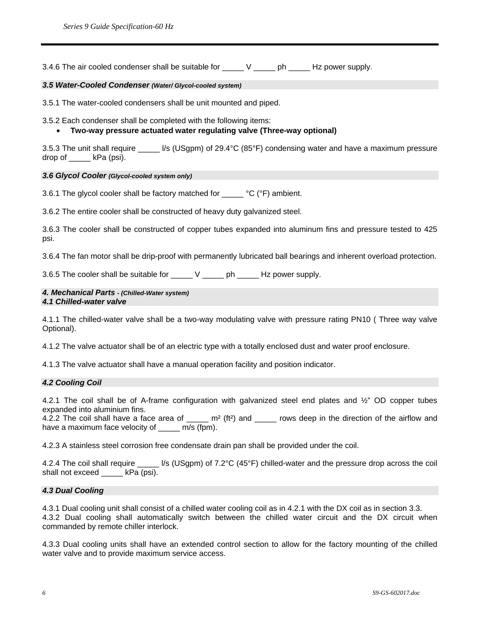3.4.6 The air cooled condenser shall be suitable for \_\_\_\_\_ V \_\_\_\_\_ ph \_\_\_\_\_ Hz power supply.

## *3.5 Water-Cooled Condenser (Water/ Glycol-cooled system)*

3.5.1 The water-cooled condensers shall be unit mounted and piped.

3.5.2 Each condenser shall be completed with the following items:

# • **Two-way pressure actuated water regulating valve (Three-way optional)**

3.5.3 The unit shall require  $\frac{1}{s}$  (USgpm) of 29.4°C (85°F) condensing water and have a maximum pressure drop of \_\_\_\_\_ kPa (psi).

## *3.6 Glycol Cooler (Glycol-cooled system only)*

3.6.1 The glycol cooler shall be factory matched for \_\_\_\_\_ °C (°F) ambient.

3.6.2 The entire cooler shall be constructed of heavy duty galvanized steel.

3.6.3 The cooler shall be constructed of copper tubes expanded into aluminum fins and pressure tested to 425 psi.

3.6.4 The fan motor shall be drip-proof with permanently lubricated ball bearings and inherent overload protection.

3.6.5 The cooler shall be suitable for \_\_\_\_\_ V \_\_\_\_\_ ph \_\_\_\_\_ Hz power supply.

#### *4. Mechanical Parts - (Chilled-Water system) 4.1 Chilled-water valve*

4.1.1 The chilled-water valve shall be a two-way modulating valve with pressure rating PN10 ( Three way valve Optional).

4.1.2 The valve actuator shall be of an electric type with a totally enclosed dust and water proof enclosure.

4.1.3 The valve actuator shall have a manual operation facility and position indicator.

# *4.2 Cooling Coil*

4.2.1 The coil shall be of A-frame configuration with galvanized steel end plates and ½" OD copper tubes expanded into aluminium fins.

4.2.2 The coil shall have a face area of  $\mu$  m<sup>2</sup> (ft<sup>2</sup>) and  $\mu$  rows deep in the direction of the airflow and have a maximum face velocity of \_\_\_\_\_ m/s (fpm).

4.2.3 A stainless steel corrosion free condensate drain pan shall be provided under the coil.

4.2.4 The coil shall require \_\_\_\_\_ l/s (USgpm) of 7.2°C (45°F) chilled-water and the pressure drop across the coil shall not exceed \_\_\_\_\_ kPa (psi).

#### *4.3 Dual Cooling*

4.3.1 Dual cooling unit shall consist of a chilled water cooling coil as in 4.2.1 with the DX coil as in section 3.3. 4.3.2 Dual cooling shall automatically switch between the chilled water circuit and the DX circuit when commanded by remote chiller interlock.

4.3.3 Dual cooling units shall have an extended control section to allow for the factory mounting of the chilled water valve and to provide maximum service access.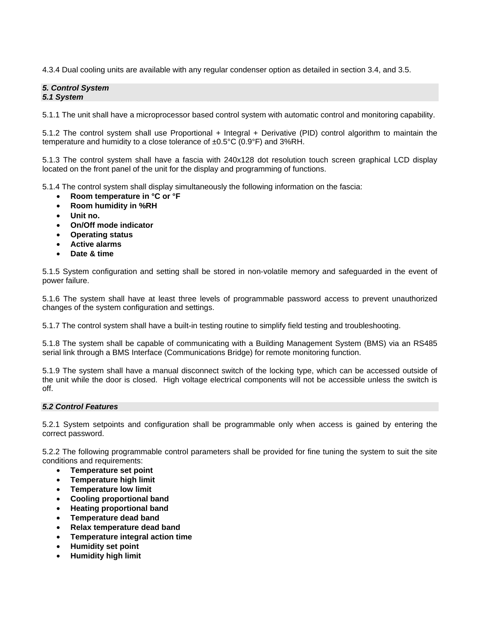4.3.4 Dual cooling units are available with any regular condenser option as detailed in section 3.4, and 3.5.

## *5. Control System 5.1 System*

5.1.1 The unit shall have a microprocessor based control system with automatic control and monitoring capability.

5.1.2 The control system shall use Proportional + Integral + Derivative (PID) control algorithm to maintain the temperature and humidity to a close tolerance of ±0.5°C (0.9°F) and 3%RH.

5.1.3 The control system shall have a fascia with 240x128 dot resolution touch screen graphical LCD display located on the front panel of the unit for the display and programming of functions.

5.1.4 The control system shall display simultaneously the following information on the fascia:

- **Room temperature in °C or °F**
- **Room humidity in %RH**
- **Unit no.**
- **On/Off mode indicator**
- **Operating status**
- **Active alarms**
- **Date & time**

5.1.5 System configuration and setting shall be stored in non-volatile memory and safeguarded in the event of power failure.

5.1.6 The system shall have at least three levels of programmable password access to prevent unauthorized changes of the system configuration and settings.

5.1.7 The control system shall have a built-in testing routine to simplify field testing and troubleshooting.

5.1.8 The system shall be capable of communicating with a Building Management System (BMS) via an RS485 serial link through a BMS Interface (Communications Bridge) for remote monitoring function.

5.1.9 The system shall have a manual disconnect switch of the locking type, which can be accessed outside of the unit while the door is closed. High voltage electrical components will not be accessible unless the switch is off.

# *5.2 Control Features*

5.2.1 System setpoints and configuration shall be programmable only when access is gained by entering the correct password.

5.2.2 The following programmable control parameters shall be provided for fine tuning the system to suit the site conditions and requirements:

- **Temperature set point**
- **Temperature high limit**
- **Temperature low limit**
- **Cooling proportional band**
- **Heating proportional band**
- **Temperature dead band**
- **Relax temperature dead band**
- **Temperature integral action time**
- **Humidity set point**
- **Humidity high limit**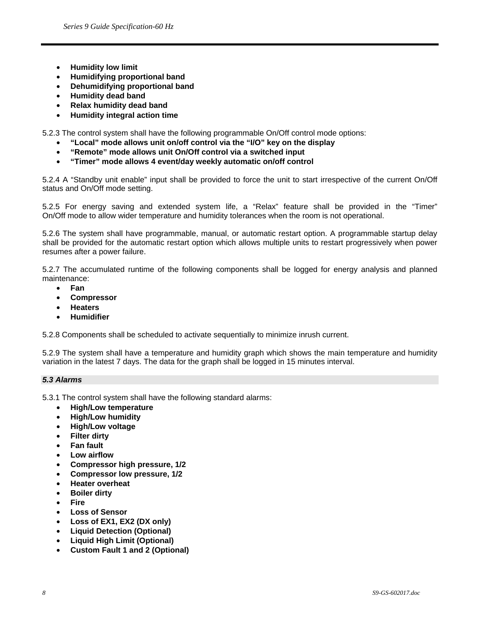- **Humidity low limit**
- **Humidifying proportional band**
- **Dehumidifying proportional band**
- **Humidity dead band**
- **Relax humidity dead band**
- **Humidity integral action time**

5.2.3 The control system shall have the following programmable On/Off control mode options:

- **"Local" mode allows unit on/off control via the "I/O" key on the display**
- **"Remote" mode allows unit On/Off control via a switched input**
- **"Timer" mode allows 4 event/day weekly automatic on/off control**

5.2.4 A "Standby unit enable" input shall be provided to force the unit to start irrespective of the current On/Off status and On/Off mode setting.

5.2.5 For energy saving and extended system life, a "Relax" feature shall be provided in the "Timer" On/Off mode to allow wider temperature and humidity tolerances when the room is not operational.

5.2.6 The system shall have programmable, manual, or automatic restart option. A programmable startup delay shall be provided for the automatic restart option which allows multiple units to restart progressively when power resumes after a power failure.

5.2.7 The accumulated runtime of the following components shall be logged for energy analysis and planned maintenance:

- **Fan**
- **Compressor**
- **Heaters**
- **Humidifier**

5.2.8 Components shall be scheduled to activate sequentially to minimize inrush current.

5.2.9 The system shall have a temperature and humidity graph which shows the main temperature and humidity variation in the latest 7 days. The data for the graph shall be logged in 15 minutes interval.

# *5.3 Alarms*

5.3.1 The control system shall have the following standard alarms:

- **High/Low temperature**
- **High/Low humidity**
- **High/Low voltage**
- **Filter dirty**
- **Fan fault**
- **Low airflow**
- **Compressor high pressure, 1/2**
- **Compressor low pressure, 1/2**
- **Heater overheat**
- **Boiler dirty**
- **Fire**
- **Loss of Sensor**
- **Loss of EX1, EX2 (DX only)**
- **Liquid Detection (Optional)**
- **Liquid High Limit (Optional)**
- **Custom Fault 1 and 2 (Optional)**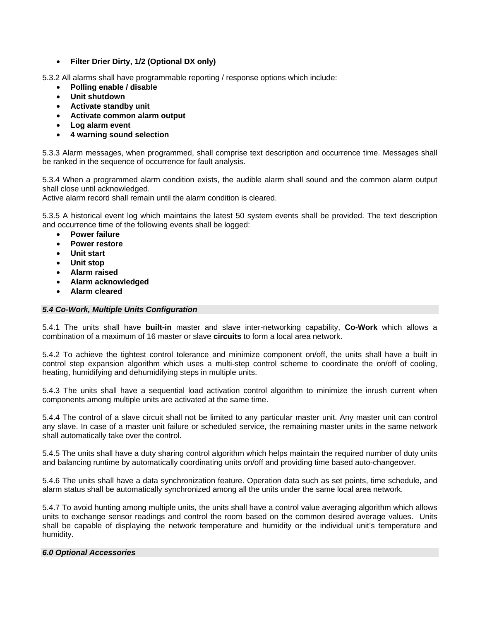• **Filter Drier Dirty, 1/2 (Optional DX only)** 

5.3.2 All alarms shall have programmable reporting / response options which include:

- **Polling enable / disable**
- **Unit shutdown**
- **Activate standby unit**
- **Activate common alarm output**
- **Log alarm event**
- **4 warning sound selection**

5.3.3 Alarm messages, when programmed, shall comprise text description and occurrence time. Messages shall be ranked in the sequence of occurrence for fault analysis.

5.3.4 When a programmed alarm condition exists, the audible alarm shall sound and the common alarm output shall close until acknowledged.

Active alarm record shall remain until the alarm condition is cleared.

5.3.5 A historical event log which maintains the latest 50 system events shall be provided. The text description and occurrence time of the following events shall be logged:

- **Power failure**
- **Power restore**
- **Unit start**
- **Unit stop**
- **Alarm raised**
- **Alarm acknowledged**
- **Alarm cleared**

# *5.4 Co-Work, Multiple Units Configuration*

5.4.1 The units shall have **built-in** master and slave inter-networking capability, **Co-Work** which allows a combination of a maximum of 16 master or slave **circuits** to form a local area network.

5.4.2 To achieve the tightest control tolerance and minimize component on/off, the units shall have a built in control step expansion algorithm which uses a multi-step control scheme to coordinate the on/off of cooling, heating, humidifying and dehumidifying steps in multiple units.

5.4.3 The units shall have a sequential load activation control algorithm to minimize the inrush current when components among multiple units are activated at the same time.

5.4.4 The control of a slave circuit shall not be limited to any particular master unit. Any master unit can control any slave. In case of a master unit failure or scheduled service, the remaining master units in the same network shall automatically take over the control.

5.4.5 The units shall have a duty sharing control algorithm which helps maintain the required number of duty units and balancing runtime by automatically coordinating units on/off and providing time based auto-changeover.

5.4.6 The units shall have a data synchronization feature. Operation data such as set points, time schedule, and alarm status shall be automatically synchronized among all the units under the same local area network.

5.4.7 To avoid hunting among multiple units, the units shall have a control value averaging algorithm which allows units to exchange sensor readings and control the room based on the common desired average values. Units shall be capable of displaying the network temperature and humidity or the individual unit's temperature and humidity.

# *6.0 Optional Accessories*